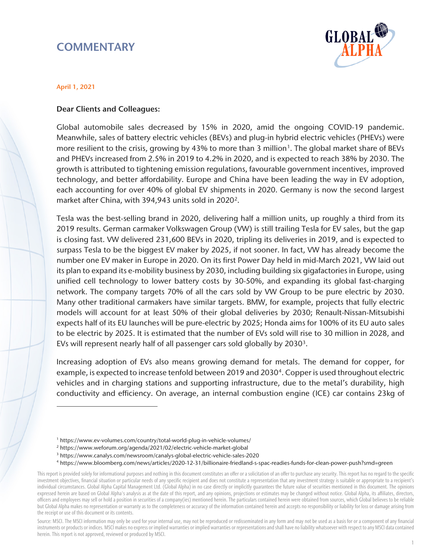# **COMMENTARY**



#### April 1, 2021

 $\overline{a}$ 

### Dear Clients and Colleagues:

Global automobile sales decreased by 15% in 2020, amid the ongoing COVID-19 pandemic. Meanwhile, sales of battery electric vehicles (BEVs) and plug-in hybrid electric vehicles (PHEVs) were more resilient to the crisis, growing by 43% to more than 3 million<sup>[1](#page-0-0)</sup>. The global market share of BEVs and PHEVs increased from 2.5% in 2019 to 4.2% in 2020, and is expected to reach 38% by 2030. The growth is attributed to tightening emission regulations, favourable government incentives, improved technology, and better affordability. Europe and China have been leading the way in EV adoption, each accounting for over 40% of global EV shipments in 2020. Germany is now the second largest market after China, with 394,943 units sold in 2020<sup>2</sup>.

Tesla was the best-selling brand in 2020, delivering half a million units, up roughly a third from its 2019 results. German carmaker Volkswagen Group (VW) is still trailing Tesla for EV sales, but the gap is closing fast. VW delivered 231,600 BEVs in 2020, tripling its deliveries in 2019, and is expected to surpass Tesla to be the biggest EV maker by 2025, if not sooner. In fact, VW has already become the number one EV maker in Europe in 2020. On its first Power Day held in mid-March 2021, VW laid out its plan to expand its e-mobility business by 2030, including building six gigafactories in Europe, using unified cell technology to lower battery costs by 30-50%, and expanding its global fast-charging network. The company targets 70% of all the cars sold by VW Group to be pure electric by 2030. Many other traditional carmakers have similar targets. BMW, for example, projects that fully electric models will account for at least 50% of their global deliveries by 2030; Renault-Nissan-Mitsubishi expects half of its EU launches will be pure-electric by 2025; Honda aims for 100% of its EU auto sales to be electric by 2025. It is estimated that the number of EVs sold will rise to 30 million in 2028, and EVs will represent nearly half of all passenger cars sold globally by 20[3](#page-0-2)0<sup>3</sup>.

Increasing adoption of EVs also means growing demand for metals. The demand for copper, for example, is expected to increase tenfold between 2019 and 2030<sup>[4](#page-0-3)</sup>. Copper is used throughout electric vehicles and in charging stations and supporting infrastructure, due to the metal's durability, high conductivity and efficiency. On average, an internal combustion engine (ICE) car contains 23kg of

<sup>1</sup> https://www.ev-volumes.com/country/total-world-plug-in-vehicle-volumes/

<sup>&</sup>lt;sup>2</sup> https://www.weforum.org/agenda/2021/02/electric-vehicle-market-global<br><sup>3</sup> https://www.canalys.com/newsroom/canalys-global-electric-vehicle-sales-2020<br><sup>4</sup> https://www.bloomberg.com/news/articles/2020-12-31/billionaire-f

<span id="page-0-3"></span><span id="page-0-2"></span><span id="page-0-1"></span><span id="page-0-0"></span>This report is provided solely for informational purposes and nothing in this document constitutes an offer or a solicitation of an offer to purchase any security. This report has no regard to the specific investment objectives, financial situation or particular needs of any specific recipient and does not constitute a representation that any investment strategy is suitable or appropriate to a recipient's individual circumstances. Global Alpha Capital Management Ltd. (Global Alpha) in no case directly or implicitly guarantees the future value of securities mentioned in this document. The opinions expressed herein are based on Global Alpha's analysis as at the date of this report, and any opinions, projections or estimates may be changed without notice. Global Alpha, its affiliates, directors, officers and employees may sell or hold a position in securities of a company(ies) mentioned herein. The particulars contained herein were obtained from sources, which Global believes to be reliable but Global Alpha makes no representation or warranty as to the completeness or accuracy of the information contained herein and accepts no responsibility or liability for loss or damage arising from the receipt or use of this document or its contents.

Source: MSCI. The MSCI information may only be used for your internal use, may not be reproduced or redisseminated in any form and may not be used as a basis for or a component of any financial instruments or products or indices. MSCI makes no express or implied warranties or implied warranties or representations and shall have no liability whatsoever with respect to any MSCI data contained herein. This report is not approved, reviewed or produced by MSCI.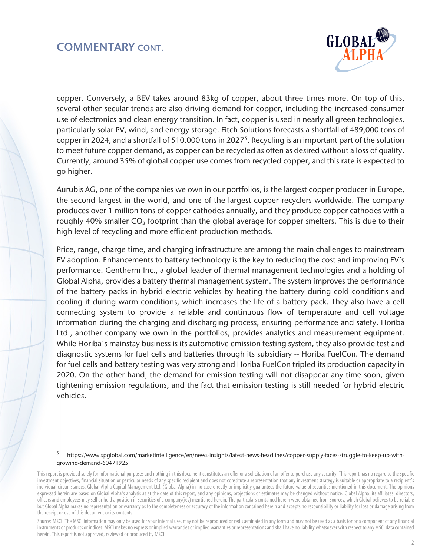## COMMENTARY CONT.

 $\overline{a}$ 



copper. Conversely, a BEV takes around 83kg of copper, about three times more. On top of this, several other secular trends are also driving demand for copper, including the increased consumer use of electronics and clean energy transition. In fact, copper is used in nearly all green technologies, particularly solar PV, wind, and energy storage. Fitch Solutions forecasts a shortfall of 489,000 tons of copper in 2024, and a shortfall of 510,000 tons in 2027[5](#page-1-0). Recycling is an important part of the solution to meet future copper demand, as copper can be recycled as often as desired without a loss of quality. Currently, around 35% of global copper use comes from recycled copper, and this rate is expected to go higher.

Aurubis AG, one of the companies we own in our portfolios, is the largest copper producer in Europe, the second largest in the world, and one of the largest copper recyclers worldwide. The company produces over 1 million tons of copper cathodes annually, and they produce copper cathodes with a roughly 40% smaller CO<sub>2</sub> footprint than the global average for copper smelters. This is due to their high level of recycling and more efficient production methods.

Price, range, charge time, and charging infrastructure are among the main challenges to mainstream EV adoption. Enhancements to battery technology is the key to reducing the cost and improving EV's performance. Gentherm Inc., a global leader of thermal management technologies and a holding of Global Alpha, provides a battery thermal management system. The system improves the performance of the battery packs in hybrid electric vehicles by heating the battery during cold conditions and cooling it during warm conditions, which increases the life of a battery pack. They also have a cell connecting system to provide a reliable and continuous flow of temperature and cell voltage information during the charging and discharging process, ensuring performance and safety. Horiba Ltd., another company we own in the portfolios, provides analytics and measurement equipment. While Horiba's mainstay business is its automotive emission testing system, they also provide test and diagnostic systems for fuel cells and batteries through its subsidiary -- Horiba FuelCon. The demand for fuel cells and battery testing was very strong and Horiba FuelCon tripled its production capacity in 2020. On the other hand, the demand for emission testing will not disappear any time soon, given tightening emission regulations, and the fact that emission testing is still needed for hybrid electric vehicles.

<sup>5</sup> https://www.spglobal.com/marketintelligence/en/news-insights/latest-news-headlines/copper-supply-faces-struggle-to-keep-up-withgrowing-demand-60471925

<span id="page-1-0"></span>This report is provided solely for informational purposes and nothing in this document constitutes an offer or a solicitation of an offer to purchase any security. This report has no regard to the specific investment objectives, financial situation or particular needs of any specific recipient and does not constitute a representation that any investment strategy is suitable or appropriate to a recipient's individual circumstances. Global Alpha Capital Management Ltd. (Global Alpha) in no case directly or implicitly guarantees the future value of securities mentioned in this document. The opinions expressed herein are based on Global Alpha's analysis as at the date of this report, and any opinions, projections or estimates may be changed without notice. Global Alpha, its affiliates, directors, officers and employees may sell or hold a position in securities of a company(ies) mentioned herein. The particulars contained herein were obtained from sources, which Global believes to be reliable but Global Alpha makes no representation or warranty as to the completeness or accuracy of the information contained herein and accepts no responsibility or liability for loss or damage arising from the receipt or use of this document or its contents.

Source: MSCI. The MSCI information may only be used for your internal use, may not be reproduced or redisseminated in any form and may not be used as a basis for or a component of any financial instruments or products or indices. MSCI makes no express or implied warranties or implied warranties or representations and shall have no liability whatsoever with respect to any MSCI data contained herein. This report is not approved, reviewed or produced by MSCI.